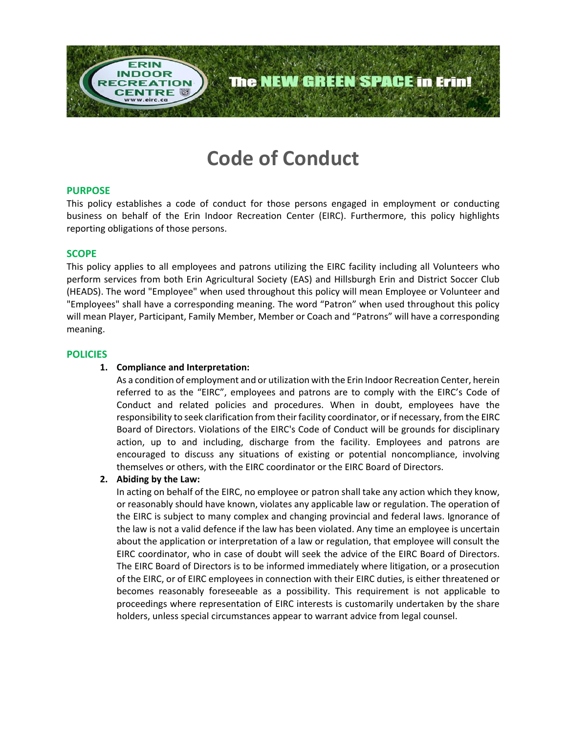

# **Code of Conduct**

## **PURPOSE**

This policy establishes a code of conduct for those persons engaged in employment or conducting business on behalf of the Erin Indoor Recreation Center (EIRC). Furthermore, this policy highlights reporting obligations of those persons.

#### **SCOPE**

This policy applies to all employees and patrons utilizing the EIRC facility including all Volunteers who perform services from both Erin Agricultural Society (EAS) and Hillsburgh Erin and District Soccer Club (HEADS). The word "Employee" when used throughout this policy will mean Employee or Volunteer and "Employees" shall have a corresponding meaning. The word "Patron" when used throughout this policy will mean Player, Participant, Family Member, Member or Coach and "Patrons" will have a corresponding meaning.

#### **POLICIES**

### **1. Compliance and Interpretation:**

As a condition of employment and or utilization with the Erin Indoor Recreation Center, herein referred to as the "EIRC", employees and patrons are to comply with the EIRC's Code of Conduct and related policies and procedures. When in doubt, employees have the responsibility to seek clarification from their facility coordinator, or if necessary, from the EIRC Board of Directors. Violations of the EIRC's Code of Conduct will be grounds for disciplinary action, up to and including, discharge from the facility. Employees and patrons are encouraged to discuss any situations of existing or potential noncompliance, involving themselves or others, with the EIRC coordinator or the EIRC Board of Directors.

#### **2. Abiding by the Law:**

In acting on behalf of the EIRC, no employee or patron shall take any action which they know, or reasonably should have known, violates any applicable law or regulation. The operation of the EIRC is subject to many complex and changing provincial and federal laws. Ignorance of the law is not a valid defence if the law has been violated. Any time an employee is uncertain about the application or interpretation of a law or regulation, that employee will consult the EIRC coordinator, who in case of doubt will seek the advice of the EIRC Board of Directors. The EIRC Board of Directors is to be informed immediately where litigation, or a prosecution of the EIRC, or of EIRC employees in connection with their EIRC duties, is either threatened or becomes reasonably foreseeable as a possibility. This requirement is not applicable to proceedings where representation of EIRC interests is customarily undertaken by the share holders, unless special circumstances appear to warrant advice from legal counsel.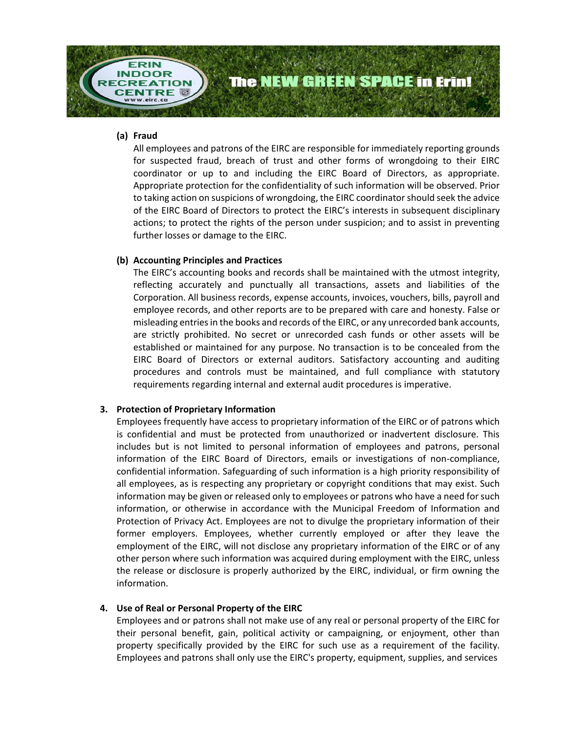

## **(a) Fraud**

All employees and patrons of the EIRC are responsible for immediately reporting grounds for suspected fraud, breach of trust and other forms of wrongdoing to their EIRC coordinator or up to and including the EIRC Board of Directors, as appropriate. Appropriate protection for the confidentiality of such information will be observed. Prior to taking action on suspicions of wrongdoing, the EIRC coordinator should seek the advice of the EIRC Board of Directors to protect the EIRC's interests in subsequent disciplinary actions; to protect the rights of the person under suspicion; and to assist in preventing further losses or damage to the EIRC.

## **(b) Accounting Principles and Practices**

The EIRC's accounting books and records shall be maintained with the utmost integrity, reflecting accurately and punctually all transactions, assets and liabilities of the Corporation. All business records, expense accounts, invoices, vouchers, bills, payroll and employee records, and other reports are to be prepared with care and honesty. False or misleading entries in the books and records of the EIRC, or any unrecorded bank accounts, are strictly prohibited. No secret or unrecorded cash funds or other assets will be established or maintained for any purpose. No transaction is to be concealed from the EIRC Board of Directors or external auditors. Satisfactory accounting and auditing procedures and controls must be maintained, and full compliance with statutory requirements regarding internal and external audit procedures is imperative.

## **3. Protection of Proprietary Information**

Employees frequently have access to proprietary information of the EIRC or of patrons which is confidential and must be protected from unauthorized or inadvertent disclosure. This includes but is not limited to personal information of employees and patrons, personal information of the EIRC Board of Directors, emails or investigations of non-compliance, confidential information. Safeguarding of such information is a high priority responsibility of all employees, as is respecting any proprietary or copyright conditions that may exist. Such information may be given or released only to employees or patrons who have a need for such information, or otherwise in accordance with the Municipal Freedom of Information and Protection of Privacy Act. Employees are not to divulge the proprietary information of their former employers. Employees, whether currently employed or after they leave the employment of the EIRC, will not disclose any proprietary information of the EIRC or of any other person where such information was acquired during employment with the EIRC, unless the release or disclosure is properly authorized by the EIRC, individual, or firm owning the information.

#### **4. Use of Real or Personal Property of the EIRC**

Employees and or patrons shall not make use of any real or personal property of the EIRC for their personal benefit, gain, political activity or campaigning, or enjoyment, other than property specifically provided by the EIRC for such use as a requirement of the facility. Employees and patrons shall only use the EIRC's property, equipment, supplies, and services